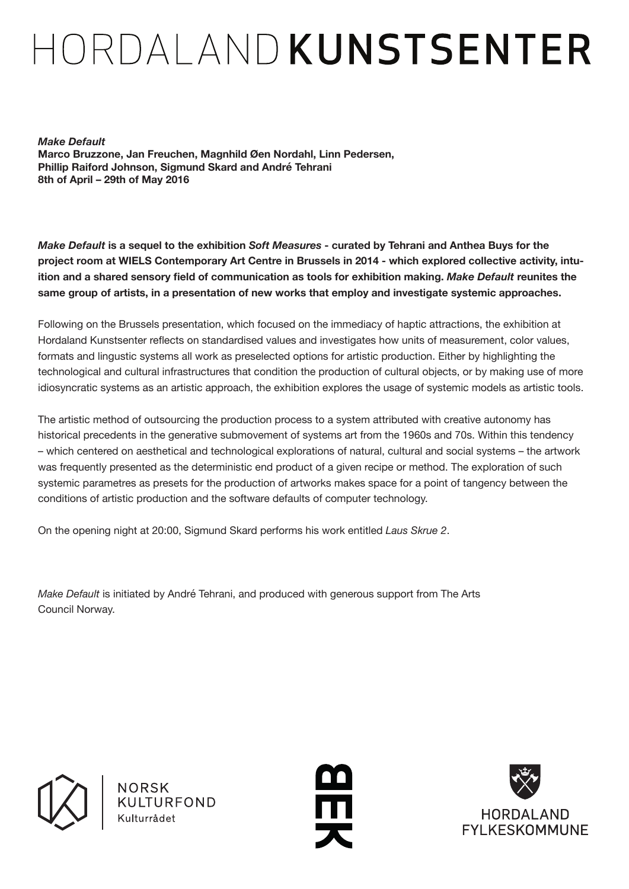# HORDAL AND KUNSTSENTER

*Make Default* **Marco Bruzzone, Jan Freuchen, Magnhild Øen Nordahl, Linn Pedersen, Phillip Raiford Johnson, Sigmund Skard and André Tehrani 8th of April – 29th of May 2016**

*Make Default* **is a sequel to the exhibition** *Soft Measures* **- curated by Tehrani and Anthea Buys for the project room at WIELS Contemporary Art Centre in Brussels in 2014 - which explored collective activity, intuition and a shared sensory field of communication as tools for exhibition making.** *Make Default* **reunites the same group of artists, in a presentation of new works that employ and investigate systemic approaches.**

Following on the Brussels presentation, which focused on the immediacy of haptic attractions, the exhibition at Hordaland Kunstsenter reflects on standardised values and investigates how units of measurement, color values, formats and lingustic systems all work as preselected options for artistic production. Either by highlighting the technological and cultural infrastructures that condition the production of cultural objects, or by making use of more idiosyncratic systems as an artistic approach, the exhibition explores the usage of systemic models as artistic tools.

The artistic method of outsourcing the production process to a system attributed with creative autonomy has historical precedents in the generative submovement of systems art from the 1960s and 70s. Within this tendency – which centered on aesthetical and technological explorations of natural, cultural and social systems – the artwork was frequently presented as the deterministic end product of a given recipe or method. The exploration of such systemic parametres as presets for the production of artworks makes space for a point of tangency between the conditions of artistic production and the software defaults of computer technology.

On the opening night at 20:00, Sigmund Skard performs his work entitled *Laus Skrue 2*.

*Make Default* is initiated by André Tehrani, and produced with generous support from The Arts Council Norway.



NORSK KULTURFOND Kulturrådet



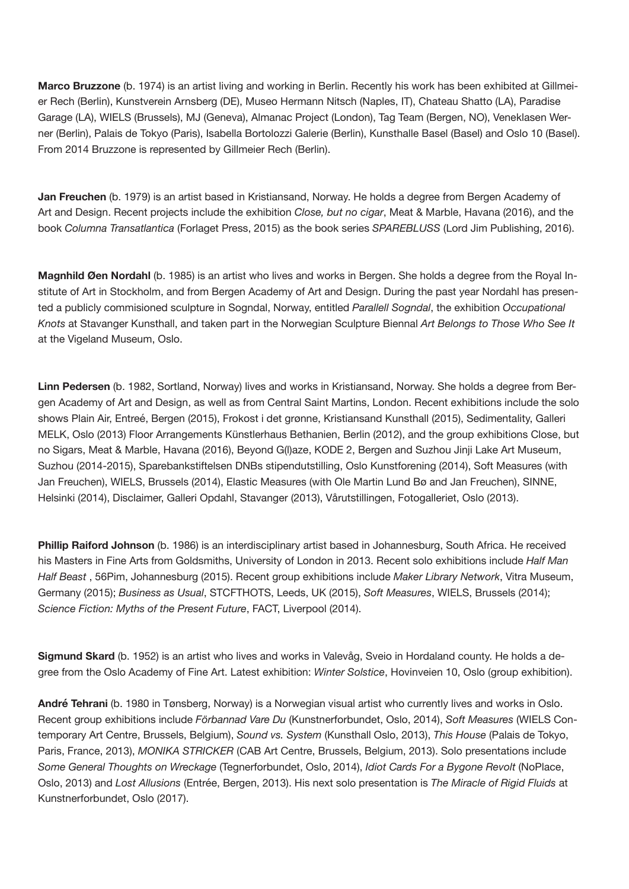**Marco Bruzzone** (b. 1974) is an artist living and working in Berlin. Recently his work has been exhibited at Gillmeier Rech (Berlin), Kunstverein Arnsberg (DE), Museo Hermann Nitsch (Naples, IT), Chateau Shatto (LA), Paradise Garage (LA), WIELS (Brussels), MJ (Geneva), Almanac Project (London), Tag Team (Bergen, NO), Veneklasen Werner (Berlin), Palais de Tokyo (Paris), Isabella Bortolozzi Galerie (Berlin), Kunsthalle Basel (Basel) and Oslo 10 (Basel). From 2014 Bruzzone is represented by Gillmeier Rech (Berlin).

**Jan Freuchen** (b. 1979) is an artist based in Kristiansand, Norway. He holds a degree from Bergen Academy of Art and Design. Recent projects include the exhibition *Close, but no cigar*, Meat & Marble, Havana (2016), and the book *Columna Transatlantica* (Forlaget Press, 2015) as the book series *SPAREBLUSS* (Lord Jim Publishing, 2016).

**Magnhild Øen Nordahl** (b. 1985) is an artist who lives and works in Bergen. She holds a degree from the Royal Institute of Art in Stockholm, and from Bergen Academy of Art and Design. During the past year Nordahl has presented a publicly commisioned sculpture in Sogndal, Norway, entitled *Parallell Sogndal*, the exhibition *Occupational Knots* at Stavanger Kunsthall, and taken part in the Norwegian Sculpture Biennal *Art Belongs to Those Who See It*  at the Vigeland Museum, Oslo.

**Linn Pedersen** (b. 1982, Sortland, Norway) lives and works in Kristiansand, Norway. She holds a degree from Bergen Academy of Art and Design, as well as from Central Saint Martins, London. Recent exhibitions include the solo shows Plain Air, Entreé, Bergen (2015), Frokost i det grønne, Kristiansand Kunsthall (2015), Sedimentality, Galleri MELK, Oslo (2013) Floor Arrangements Künstlerhaus Bethanien, Berlin (2012), and the group exhibitions Close, but no Sigars, Meat & Marble, Havana (2016), Beyond G(l)aze, KODE 2, Bergen and Suzhou Jinji Lake Art Museum, Suzhou (2014-2015), Sparebankstiftelsen DNBs stipendutstilling, Oslo Kunstforening (2014), Soft Measures (with Jan Freuchen), WIELS, Brussels (2014), Elastic Measures (with Ole Martin Lund Bø and Jan Freuchen), SINNE, Helsinki (2014), Disclaimer, Galleri Opdahl, Stavanger (2013), Vårutstillingen, Fotogalleriet, Oslo (2013).

**Phillip Raiford Johnson** (b. 1986) is an interdisciplinary artist based in Johannesburg, South Africa. He received his Masters in Fine Arts from Goldsmiths, University of London in 2013. Recent solo exhibitions include *Half Man Half Beast* , 56Pim, Johannesburg (2015). Recent group exhibitions include *Maker Library Network*, Vitra Museum, Germany (2015); *Business as Usual*, STCFTHOTS, Leeds, UK (2015), *Soft Measures*, WIELS, Brussels (2014); *Science Fiction: Myths of the Present Future*, FACT, Liverpool (2014).

**Sigmund Skard** (b. 1952) is an artist who lives and works in Valevåg, Sveio in Hordaland county. He holds a degree from the Oslo Academy of Fine Art. Latest exhibition: *Winter Solstice*, Hovinveien 10, Oslo (group exhibition).

**André Tehrani** (b. 1980 in Tønsberg, Norway) is a Norwegian visual artist who currently lives and works in Oslo. Recent group exhibitions include *Förbannad Vare Du* (Kunstnerforbundet, Oslo, 2014), *Soft Measures* (WIELS Contemporary Art Centre, Brussels, Belgium), *Sound vs. System* (Kunsthall Oslo, 2013), *This House* (Palais de Tokyo, Paris, France, 2013), *MONIKA STRICKER* (CAB Art Centre, Brussels, Belgium, 2013). Solo presentations include *Some General Thoughts on Wreckage* (Tegnerforbundet, Oslo, 2014), *Idiot Cards For a Bygone Revolt* (NoPlace, Oslo, 2013) and *Lost Allusions* (Entrée, Bergen, 2013). His next solo presentation is *The Miracle of Rigid Fluids* at Kunstnerforbundet, Oslo (2017).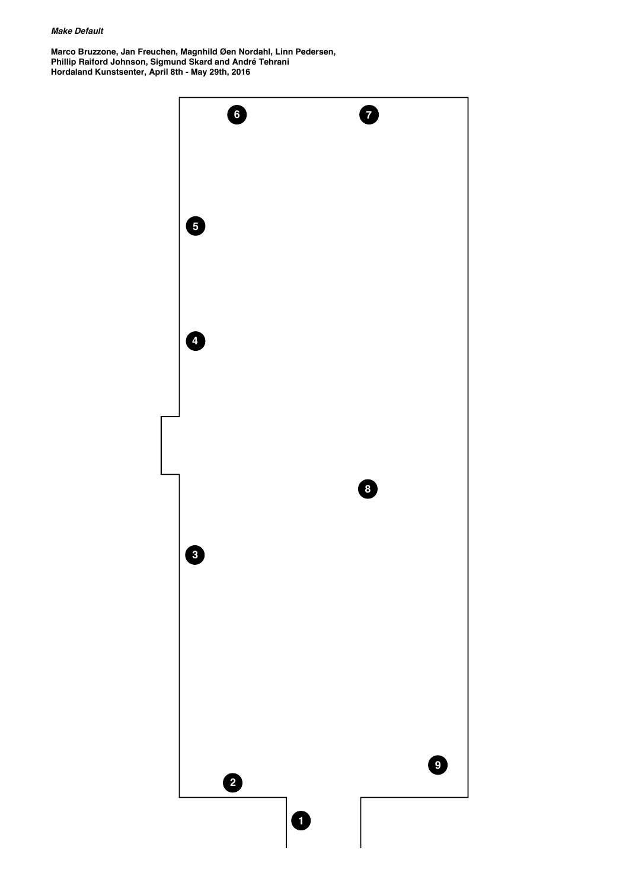# *Make Default*

**Marco Bruzzone, Jan Freuchen, Magnhild Øen Nordahl, Linn Pedersen, Phillip Raiford Johnson, Sigmund Skard and André Tehrani Hordaland Kunstsenter, April 8th - May 29th, 2016**